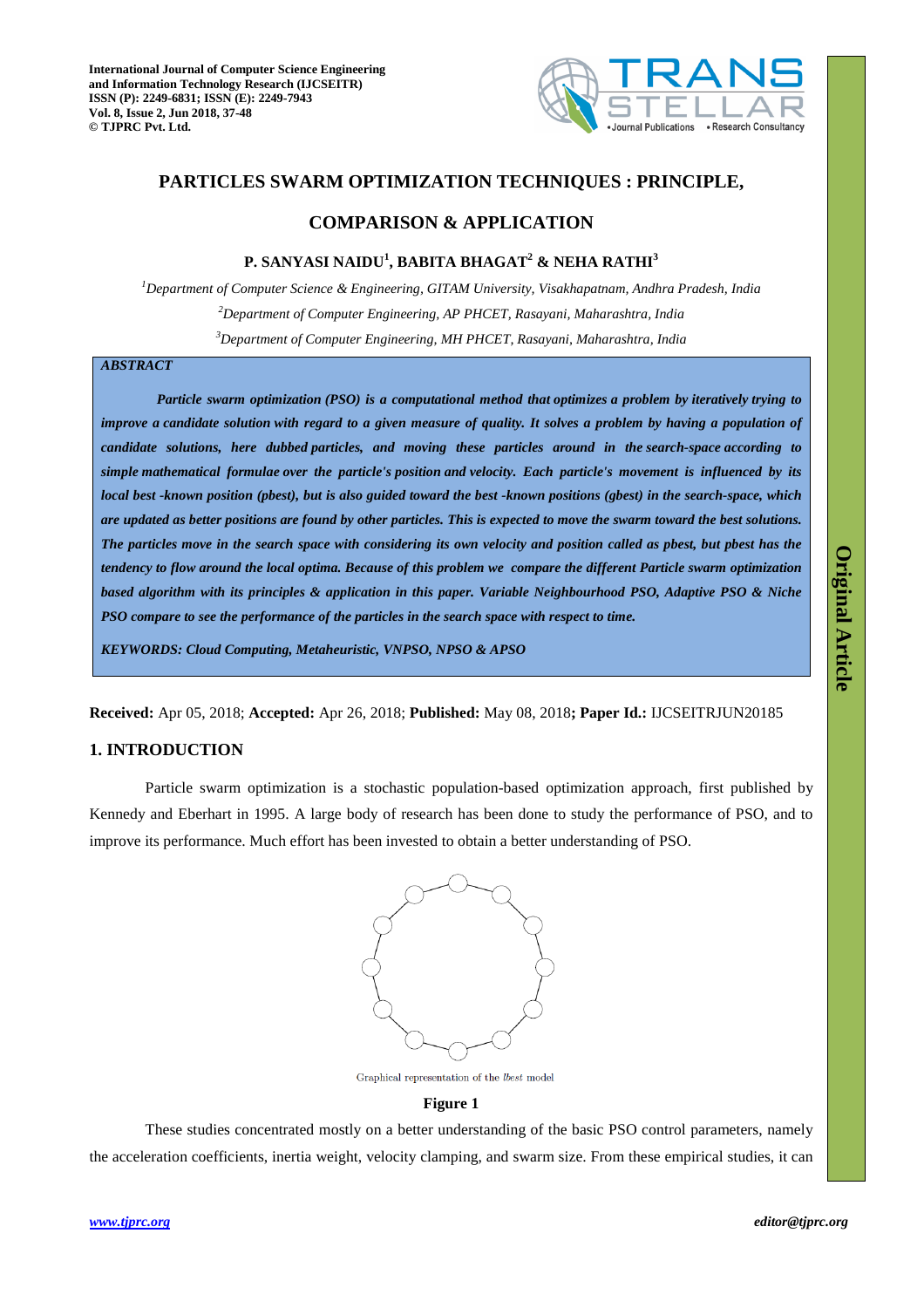

# **PARTICLES SWARM OPTIMIZATION TECHNIQUES : PRINCIPLE,**

# **COMPARISON & APPLICATION**

## **P. SANYASI NAIDU<sup>1</sup> , BABITA BHAGAT<sup>2</sup> & NEHA RATHI<sup>3</sup>**

*<sup>1</sup>Department of Computer Science & Engineering, GITAM University, Visakhapatnam, Andhra Pradesh, India <sup>2</sup>Department of Computer Engineering, AP PHCET, Rasayani, Maharashtra, India <sup>3</sup>Department of Computer Engineering, MH PHCET, Rasayani, Maharashtra, India*

# *ABSTRACT*

*Particle swarm optimization (PSO) is a computational method that optimizes a problem by iteratively trying to improve a candidate solution with regard to a given measure of quality. It solves a problem by having a population of candidate solutions, here dubbed particles, and moving these particles around in the search-space according to simple mathematical formulae over the particle's position and velocity. Each particle's movement is influenced by its local best -known position (pbest), but is also guided toward the best -known positions (gbest) in the search-space, which are updated as better positions are found by other particles. This is expected to move the swarm toward the best solutions. The particles move in the search space with considering its own velocity and position called as pbest, but pbest has the tendency to flow around the local optima. Because of this problem we compare the different Particle swarm optimization based algorithm with its principles & application in this paper. Variable Neighbourhood PSO, Adaptive PSO & Niche PSO compare to see the performance of the particles in the search space with respect to time.* 

*KEYWORDS: Cloud Computing, Metaheuristic, VNPSO, NPSO & APSO*

**Received:** Apr 05, 2018; **Accepted:** Apr 26, 2018; **Published:** May 08, 2018**; Paper Id.:** IJCSEITRJUN20185

## **1. INTRODUCTION**

Particle swarm optimization is a stochastic population-based optimization approach, first published by Kennedy and Eberhart in 1995. A large body of research has been done to study the performance of PSO, and to improve its performance. Much effort has been invested to obtain a better understanding of PSO.



Graphical representation of the  $lbest$  model

### **Figure 1**

These studies concentrated mostly on a better understanding of the basic PSO control parameters, namely the acceleration coefficients, inertia weight, velocity clamping, and swarm size. From these empirical studies, it can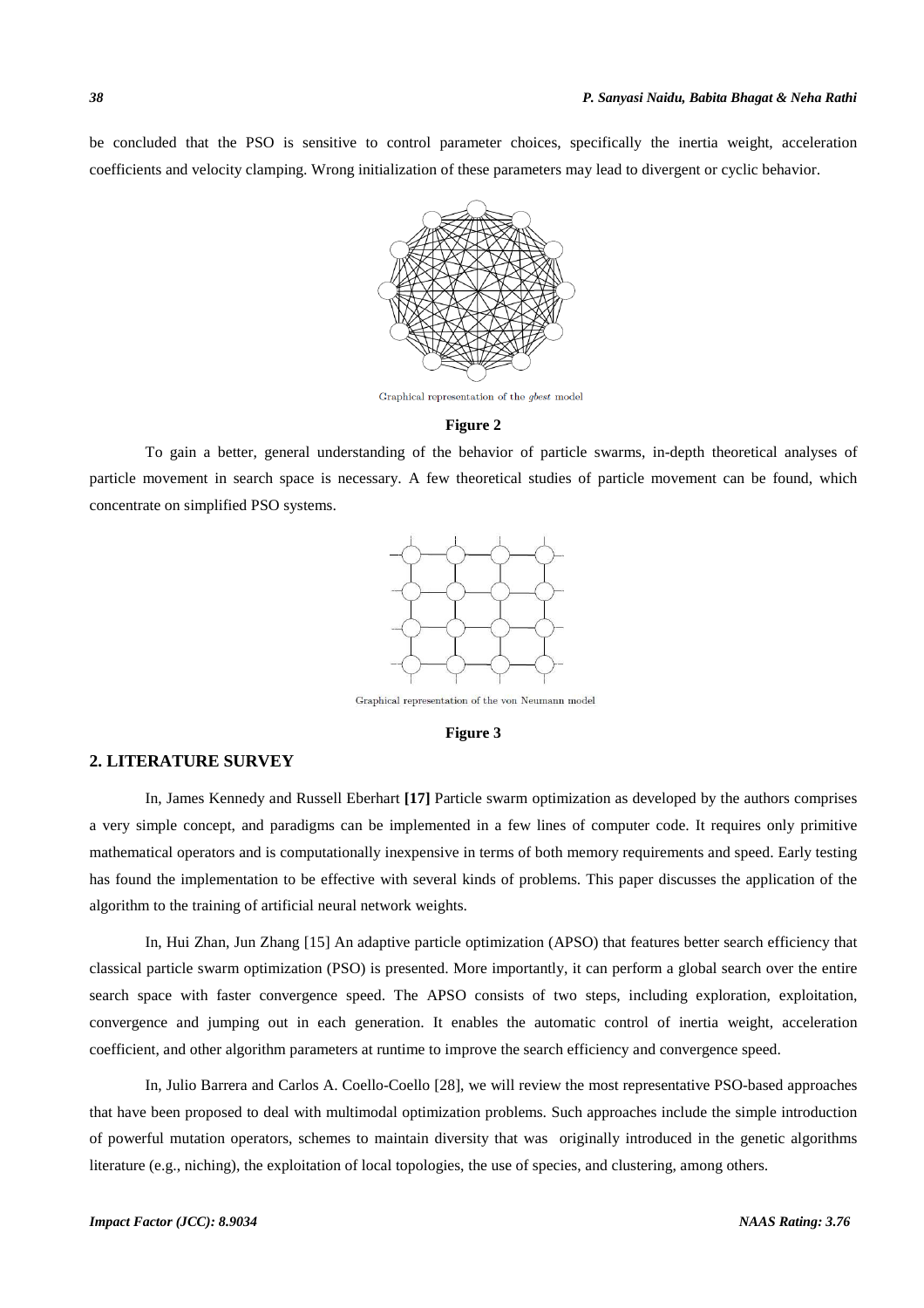be concluded that the PSO is sensitive to control parameter choices, specifically the inertia weight, acceleration coefficients and velocity clamping. Wrong initialization of these parameters may lead to divergent or cyclic behavior.



Graphical representation of the  $gbest$  model

#### **Figure 2**

To gain a better, general understanding of the behavior of particle swarms, in-depth theoretical analyses of particle movement in search space is necessary. A few theoretical studies of particle movement can be found, which concentrate on simplified PSO systems.



Graphical representation of the von Neumann model

### **Figure 3**

# **2. LITERATURE SURVEY**

In, James Kennedy and Russell Eberhart **[17]** Particle swarm optimization as developed by the authors comprises a very simple concept, and paradigms can be implemented in a few lines of computer code. It requires only primitive mathematical operators and is computationally inexpensive in terms of both memory requirements and speed. Early testing has found the implementation to be effective with several kinds of problems. This paper discusses the application of the algorithm to the training of artificial neural network weights.

In, Hui Zhan, Jun Zhang [15] An adaptive particle optimization (APSO) that features better search efficiency that classical particle swarm optimization (PSO) is presented. More importantly, it can perform a global search over the entire search space with faster convergence speed. The APSO consists of two steps, including exploration, exploitation, convergence and jumping out in each generation. It enables the automatic control of inertia weight, acceleration coefficient, and other algorithm parameters at runtime to improve the search efficiency and convergence speed.

In, Julio Barrera and Carlos A. Coello-Coello [28], we will review the most representative PSO-based approaches that have been proposed to deal with multimodal optimization problems. Such approaches include the simple introduction of powerful mutation operators, schemes to maintain diversity that was originally introduced in the genetic algorithms literature (e.g., niching), the exploitation of local topologies, the use of species, and clustering, among others.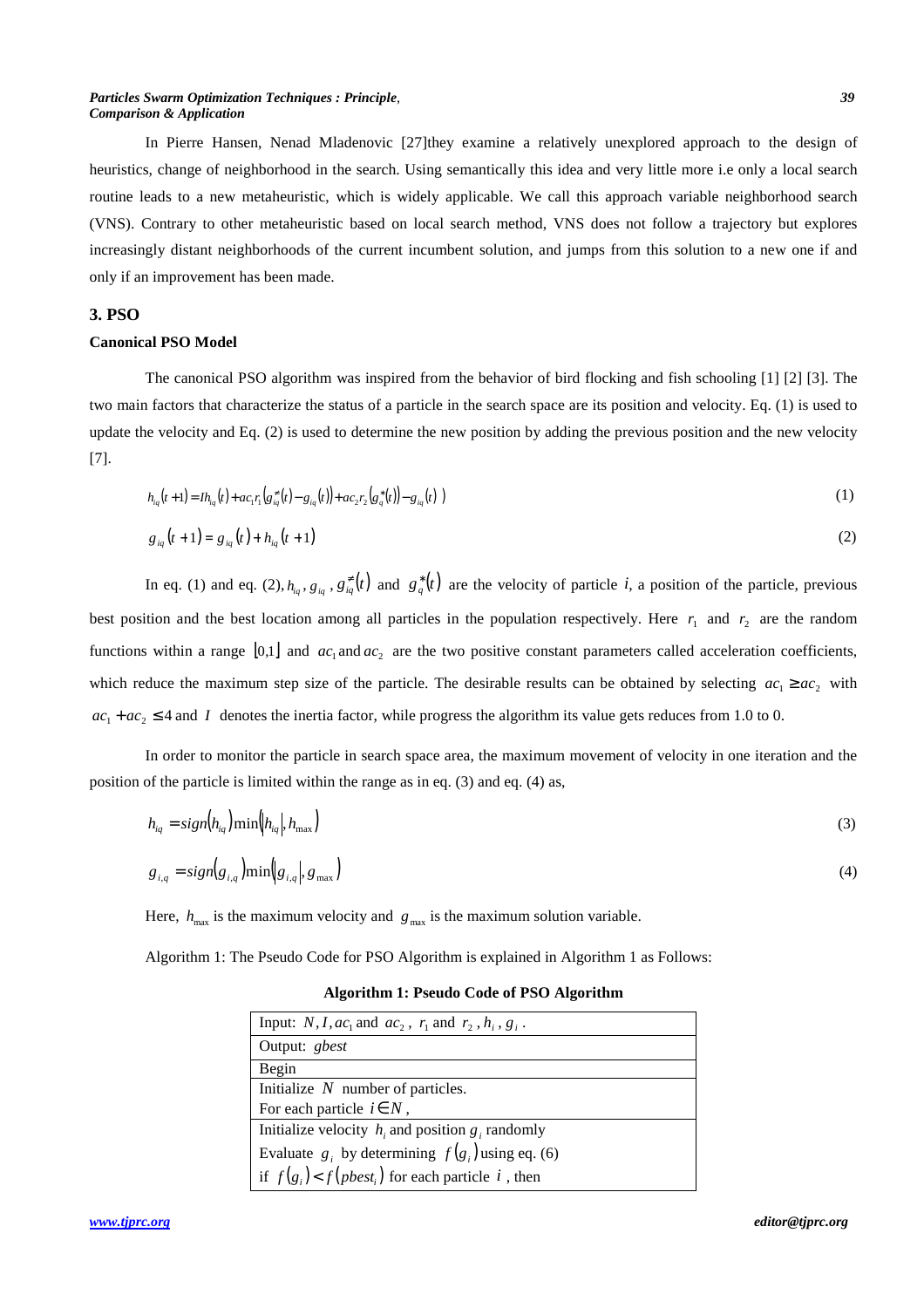#### *Particles Swarm Optimization Techniques : Principle*, *39 Comparison & Application*

In Pierre Hansen, Nenad Mladenovic [27]they examine a relatively unexplored approach to the design of heuristics, change of neighborhood in the search. Using semantically this idea and very little more i.e only a local search routine leads to a new metaheuristic, which is widely applicable. We call this approach variable neighborhood search (VNS). Contrary to other metaheuristic based on local search method, VNS does not follow a trajectory but explores increasingly distant neighborhoods of the current incumbent solution, and jumps from this solution to a new one if and only if an improvement has been made.

# **3. PSO**

#### **Canonical PSO Model**

The canonical PSO algorithm was inspired from the behavior of bird flocking and fish schooling [1] [2] [3]. The two main factors that characterize the status of a particle in the search space are its position and velocity. Eq. (1) is used to update the velocity and Eq. (2) is used to determine the new position by adding the previous position and the new velocity [7].

$$
h_{iq}(t+1) = I h_{iq}(t) + ac_1 r_1 (g_{iq}^*(t) - g_{iq}(t)) + ac_2 r_2 (g_q^*(t)) - g_{iq}(t)
$$
\n(1)

$$
g_{iq}(t+1) = g_{iq}(t) + h_{iq}(t+1)
$$
\n(2)

In eq. (1) and eq. (2),  $h_{iq}$ ,  $g_{iq}$ ,  $g_{iq}^*(t)$  and  $g_q^*(t)$  are the velocity of particle *i*, a position of the particle, previous best position and the best location among all particles in the population respectively. Here  $r_1$  and  $r_2$  are the random functions within a range  $[0,1]$  and  $ac_1$  and  $ac_2$  are the two positive constant parameters called acceleration coefficients, which reduce the maximum step size of the particle. The desirable results can be obtained by selecting  $ac_1 \geq ac_2$  with  $ac_1 + ac_2 \leq 4$  and *I* denotes the inertia factor, while progress the algorithm its value gets reduces from 1.0 to 0.

In order to monitor the particle in search space area, the maximum movement of velocity in one iteration and the position of the particle is limited within the range as in eq. (3) and eq. (4) as,

$$
h_{iq} = sign(h_{iq}) \min(|h_{iq}|, h_{\max})
$$
\n(3)

$$
g_{i,q} = sign(g_{i,q})min(|g_{i,q}|, g_{max})
$$
\n(4)

Here,  $h_{\text{max}}$  is the maximum velocity and  $g_{\text{max}}$  is the maximum solution variable.

Algorithm 1: The Pseudo Code for PSO Algorithm is explained in Algorithm 1 as Follows:

## **Algorithm 1: Pseudo Code of PSO Algorithm**

| Input: N, I, $ac_1$ and $ac_2$ , $r_1$ and $r_2$ , $h_i$ , $g_i$ . |
|--------------------------------------------------------------------|
| Output: gbest                                                      |
| Begin                                                              |
| Initialize $N$ number of particles.                                |
| For each particle $i \in N$ ,                                      |
| Initialize velocity $h_i$ and position $g_i$ randomly              |
| Evaluate $g_i$ by determining $f(g_i)$ using eq. (6)               |
| if $f(g_i) < f(pbest_i)$ for each particle i, then                 |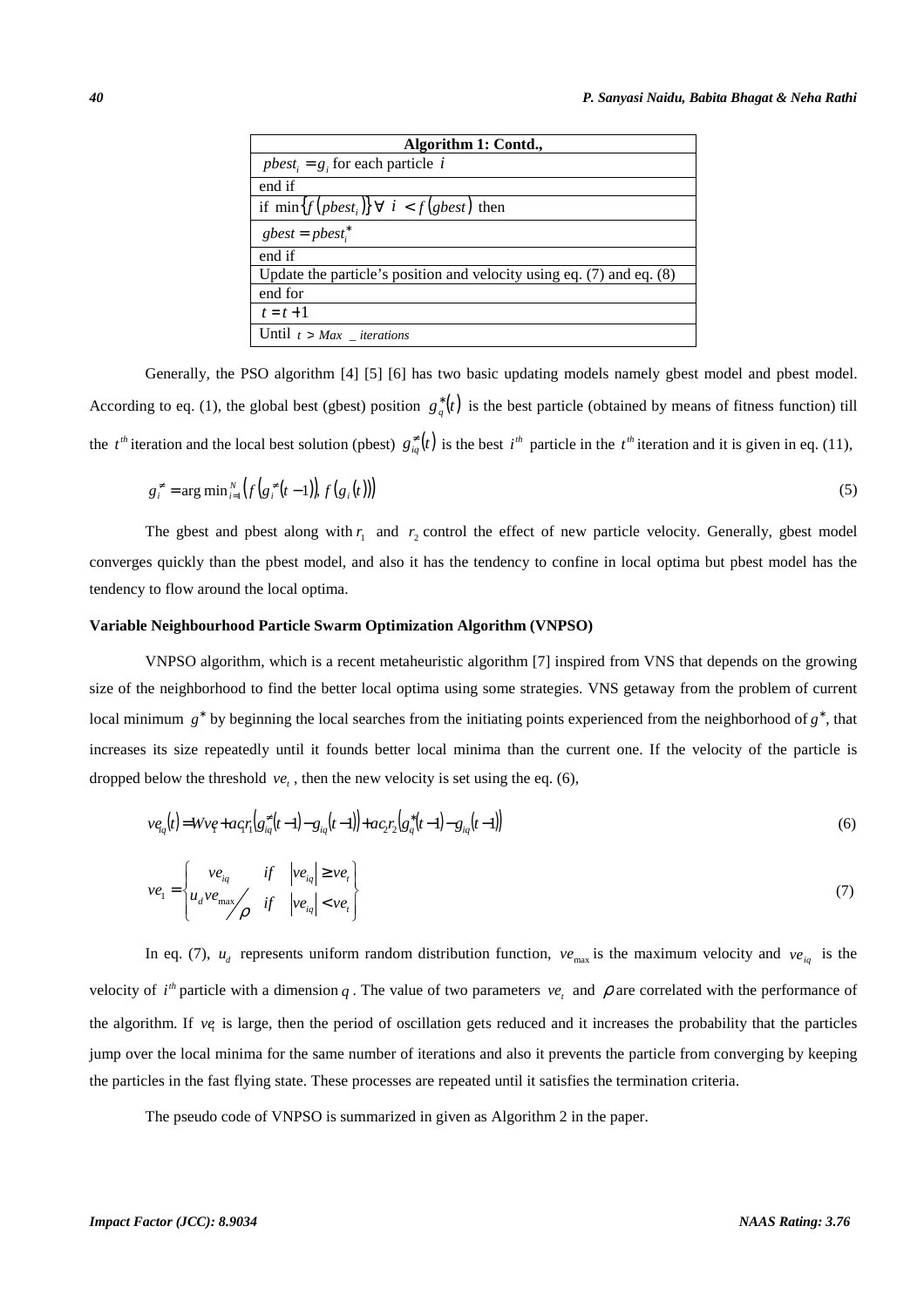| Algorithm 1: Contd.,                                                      |
|---------------------------------------------------------------------------|
| $pbest_i = g_i$ for each particle i                                       |
| end if                                                                    |
| if $\min\{f(\text{pbest}_i)\}\ \forall \ i < f(\text{gbest})$ then        |
| $gbest = pbest^*$                                                         |
| end if                                                                    |
| Update the particle's position and velocity using eq. $(7)$ and eq. $(8)$ |
| end for                                                                   |
| $t = t + 1$                                                               |
| Until $t > Max$ _ iterations                                              |

Generally, the PSO algorithm [4] [5] [6] has two basic updating models namely gbest model and pbest model. According to eq. (1), the global best (gbest) position  $g_q^*(t)$  is the best particle (obtained by means of fitness function) till the  $t^{\text{th}}$  iteration and the local best solution (pbest)  $g_{iq}^{\neq}(t)$  is the best  $i^{\text{th}}$  particle in the  $t^{\text{th}}$  iteration and it is given in eq. (11),

$$
g_i^* = \arg \min_{i=1}^N \left( f(g_i^*(t-1)) f(g_i(t)) \right) \tag{5}
$$

The gbest and pbest along with  $r_1$  and  $r_2$  control the effect of new particle velocity. Generally, gbest model converges quickly than the pbest model, and also it has the tendency to confine in local optima but pbest model has the tendency to flow around the local optima.

## **Variable Neighbourhood Particle Swarm Optimization Algorithm (VNPSO)**

VNPSO algorithm, which is a recent metaheuristic algorithm [7] inspired from VNS that depends on the growing size of the neighborhood to find the better local optima using some strategies. VNS getaway from the problem of current local minimum  $g^*$  by beginning the local searches from the initiating points experienced from the neighborhood of  $g^*$ , that increases its size repeatedly until it founds better local minima than the current one. If the velocity of the particle is dropped below the threshold  $ve_t$ , then the new velocity is set using the eq. (6),

$$
ve_{iq}(t) = Wv\varphi + a\varphi_{iq}(t-1) - g_{iq}(t-1)\varphi + ac_2r_2(g_q^*(t-1) - g_{iq}(t-1))
$$
\n<sup>(6)</sup>

$$
ve_{1} = \begin{cases} ve_{iq} & if \quad |ve_{iq}| \ge ve_{i} \\ u_{d}ve_{\text{max}}/2 & if \quad |ve_{iq}| < ve_{i} \end{cases}
$$
 (7)

In eq. (7),  $u_d$  represents uniform random distribution function,  $ve_{\text{max}}$  is the maximum velocity and  $ve_{u_q}$  is the velocity of  $i^h$  particle with a dimension q. The value of two parameters  $ve_t$  and  $\rho$  are correlated with the performance of the algorithm. If *<sup>t</sup> ve* is large, then the period of oscillation gets reduced and it increases the probability that the particles jump over the local minima for the same number of iterations and also it prevents the particle from converging by keeping the particles in the fast flying state. These processes are repeated until it satisfies the termination criteria.

The pseudo code of VNPSO is summarized in given as Algorithm 2 in the paper.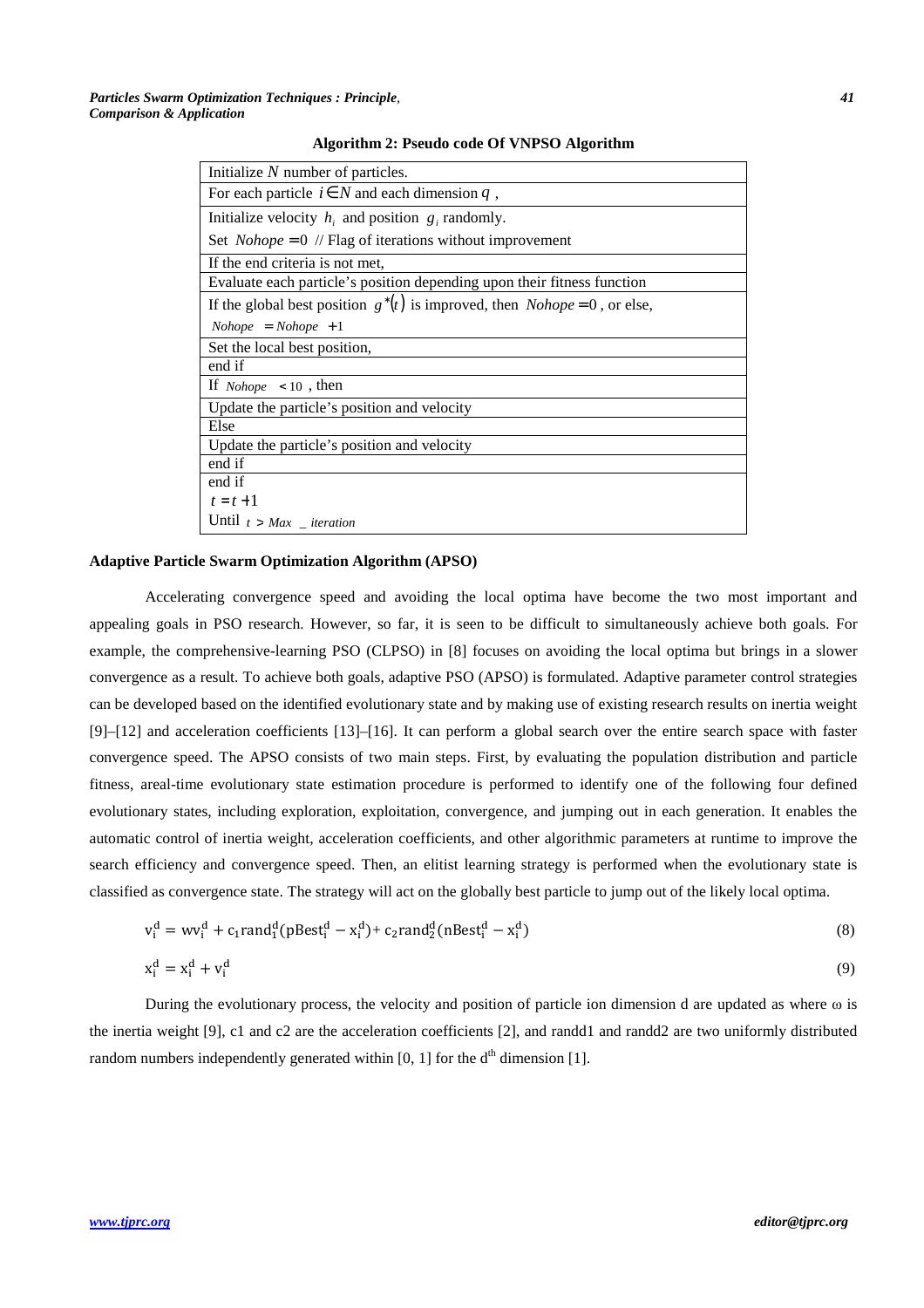|  |  |  | Algorithm 2: Pseudo code Of VNPSO Algorithm |
|--|--|--|---------------------------------------------|
|  |  |  |                                             |

| Initialize $N$ number of particles.                                                |
|------------------------------------------------------------------------------------|
| For each particle $i \in N$ and each dimension q,                                  |
| Initialize velocity $h_i$ and position $g_i$ randomly.                             |
| Set <i>Nohope</i> = $0$ // Flag of iterations without improvement                  |
| If the end criteria is not met,                                                    |
| Evaluate each particle's position depending upon their fitness function            |
| If the global best position $g^*(t)$ is improved, then <i>Nohope</i> = 0, or else, |
| $Nohope = Nohope + 1$                                                              |
| Set the local best position,                                                       |
| end if                                                                             |
| If <i>Nohope</i> $\lt$ 10, then                                                    |
| Update the particle's position and velocity                                        |
| Else                                                                               |
| Update the particle's position and velocity                                        |
| end if                                                                             |
| end if                                                                             |
| $t = t + 1$                                                                        |
| Until $t > Max$ _ iteration                                                        |

#### **Adaptive Particle Swarm Optimization Algorithm (APSO)**

Accelerating convergence speed and avoiding the local optima have become the two most important and appealing goals in PSO research. However, so far, it is seen to be difficult to simultaneously achieve both goals. For example, the comprehensive-learning PSO (CLPSO) in [8] focuses on avoiding the local optima but brings in a slower convergence as a result. To achieve both goals, adaptive PSO (APSO) is formulated. Adaptive parameter control strategies can be developed based on the identified evolutionary state and by making use of existing research results on inertia weight [9]–[12] and acceleration coefficients [13]–[16]. It can perform a global search over the entire search space with faster convergence speed. The APSO consists of two main steps. First, by evaluating the population distribution and particle fitness, areal-time evolutionary state estimation procedure is performed to identify one of the following four defined evolutionary states, including exploration, exploitation, convergence, and jumping out in each generation. It enables the automatic control of inertia weight, acceleration coefficients, and other algorithmic parameters at runtime to improve the search efficiency and convergence speed. Then, an elitist learning strategy is performed when the evolutionary state is classified as convergence state. The strategy will act on the globally best particle to jump out of the likely local optima.

$$
v_i^d = w v_i^d + c_1 \text{rand}_1^d (p\text{Best}_i^d - x_i^d) + c_2 \text{rand}_2^d (n\text{Best}_i^d - x_i^d)
$$
\n(8)\n
$$
x_i^d = x_i^d + v_i^d
$$
\n(9)

During the evolutionary process, the velocity and position of particle ion dimension d are updated as where  $\omega$  is the inertia weight [9], c1 and c2 are the acceleration coefficients [2], and randd1 and randd2 are two uniformly distributed random numbers independently generated within  $[0, 1]$  for the  $d<sup>th</sup>$  dimension  $[1]$ .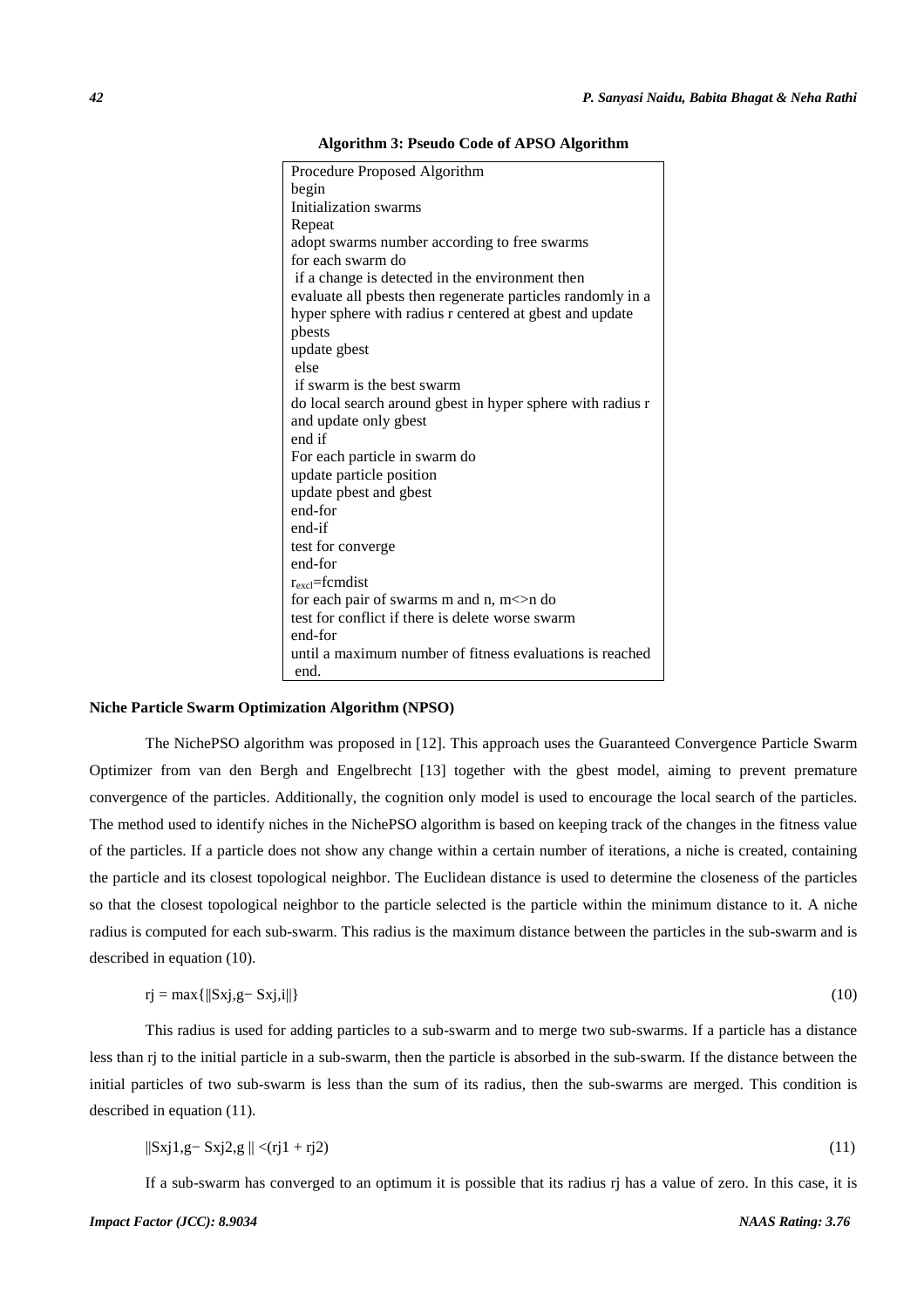**Algorithm 3: Pseudo Code of APSO Algorithm**

| Procedure Proposed Algorithm                                |
|-------------------------------------------------------------|
| begin                                                       |
| Initialization swarms                                       |
| Repeat                                                      |
| adopt swarms number according to free swarms                |
| for each swarm do                                           |
| if a change is detected in the environment then             |
| evaluate all pbests then regenerate particles randomly in a |
| hyper sphere with radius r centered at gbest and update     |
| pbests                                                      |
| update gbest                                                |
| else                                                        |
| if swarm is the best swarm                                  |
| do local search around gbest in hyper sphere with radius r  |
| and update only gbest                                       |
| end if                                                      |
| For each particle in swarm do                               |
| update particle position                                    |
| update pbest and gbest                                      |
| end-for                                                     |
| end-if                                                      |
| test for converge                                           |
| end-for                                                     |
| $r_{\rm excl}$ =fcmdist                                     |
| for each pair of swarms m and n, $m$ $>$ n do               |
| test for conflict if there is delete worse swarm            |
| end-for                                                     |
| until a maximum number of fitness evaluations is reached    |
| end.                                                        |

## **Niche Particle Swarm Optimization Algorithm (NPSO)**

The NichePSO algorithm was proposed in [12]. This approach uses the Guaranteed Convergence Particle Swarm Optimizer from van den Bergh and Engelbrecht [13] together with the gbest model, aiming to prevent premature convergence of the particles. Additionally, the cognition only model is used to encourage the local search of the particles. The method used to identify niches in the NichePSO algorithm is based on keeping track of the changes in the fitness value of the particles. If a particle does not show any change within a certain number of iterations, a niche is created, containing the particle and its closest topological neighbor. The Euclidean distance is used to determine the closeness of the particles so that the closest topological neighbor to the particle selected is the particle within the minimum distance to it. A niche radius is computed for each sub-swarm. This radius is the maximum distance between the particles in the sub-swarm and is described in equation (10).

$$
rj = max{ {\|Sxj, g - Sxj, i\|}}
$$
 (10)

This radius is used for adding particles to a sub-swarm and to merge two sub-swarms. If a particle has a distance less than rj to the initial particle in a sub-swarm, then the particle is absorbed in the sub-swarm. If the distance between the initial particles of two sub-swarm is less than the sum of its radius, then the sub-swarms are merged. This condition is described in equation (11).

$$
\|\mathrm{Sxj1},\mathrm{g}-\mathrm{Sxj2},\mathrm{g}\|<\!\!\mathrm{(rj1+rj2)}\tag{11}
$$

If a sub-swarm has converged to an optimum it is possible that its radius rj has a value of zero. In this case, it is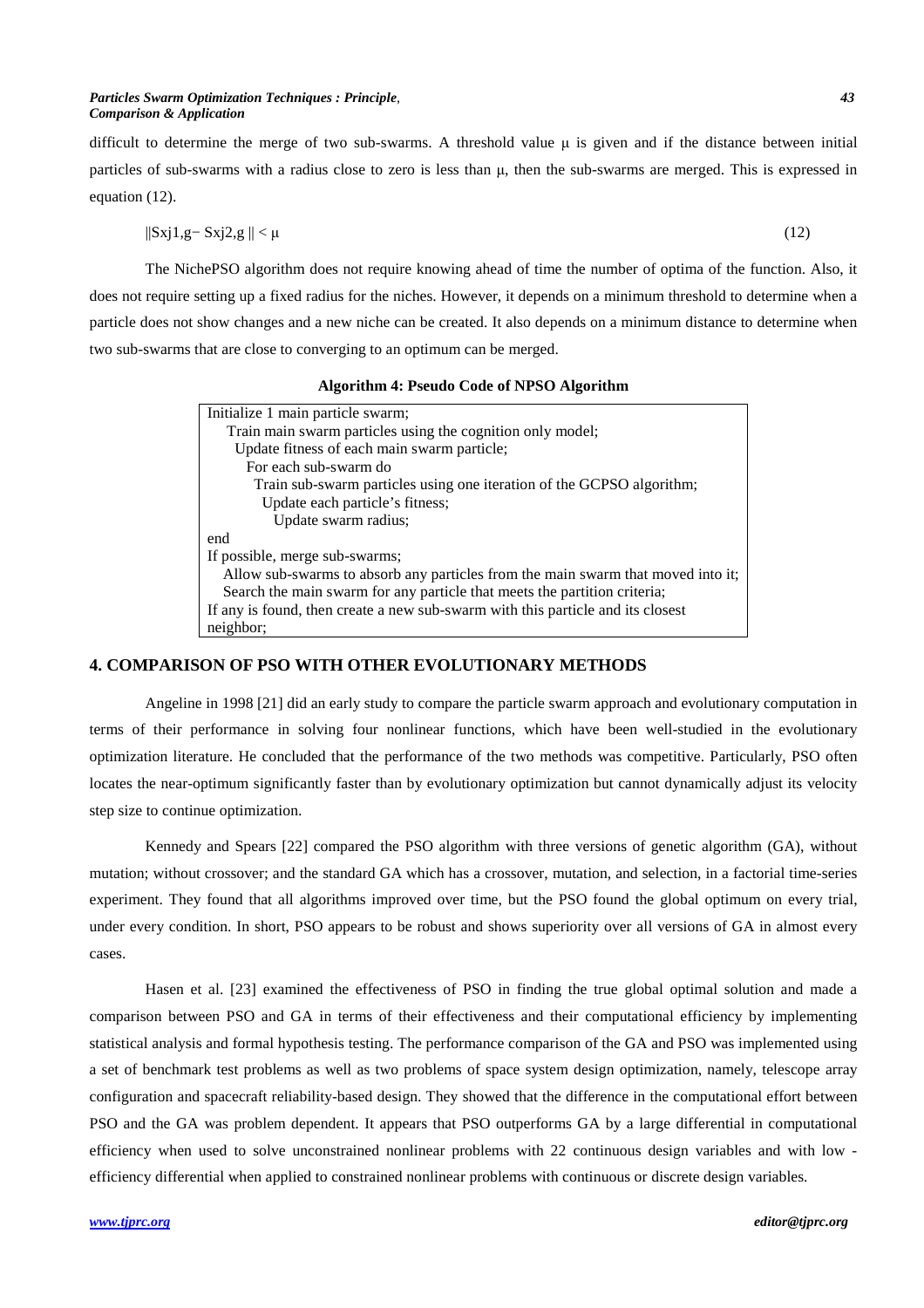#### *Particles Swarm Optimization Techniques : Principle*, *43 Comparison & Application*

difficult to determine the merge of two sub-swarms. A threshold value  $\mu$  is given and if the distance between initial particles of sub-swarms with a radius close to zero is less than  $\mu$ , then the sub-swarms are merged. This is expressed in equation (12).

$$
||\text{Sxj1},g-\text{Sxj2},g||<\mu
$$
\n
$$
(12)
$$

The NichePSO algorithm does not require knowing ahead of time the number of optima of the function. Also, it does not require setting up a fixed radius for the niches. However, it depends on a minimum threshold to determine when a particle does not show changes and a new niche can be created. It also depends on a minimum distance to determine when two sub-swarms that are close to converging to an optimum can be merged.

| Algorithm 4: Pseudo Code of NPSO Algorithm |  |  |  |  |
|--------------------------------------------|--|--|--|--|
|--------------------------------------------|--|--|--|--|

| Initialize 1 main particle swarm;                                                |
|----------------------------------------------------------------------------------|
| Train main swarm particles using the cognition only model;                       |
| Update fitness of each main swarm particle;                                      |
| For each sub-swarm do                                                            |
| Train sub-swarm particles using one iteration of the GCPSO algorithm;            |
| Update each particle's fitness;                                                  |
| Update swarm radius;                                                             |
| end                                                                              |
| If possible, merge sub-swarms;                                                   |
| Allow sub-swarms to absorb any particles from the main swarm that moved into it; |
| Search the main swarm for any particle that meets the partition criteria;        |
| If any is found, then create a new sub-swarm with this particle and its closest  |
| neighbor;                                                                        |

## **4. COMPARISON OF PSO WITH OTHER EVOLUTIONARY METHODS**

Angeline in 1998 [21] did an early study to compare the particle swarm approach and evolutionary computation in terms of their performance in solving four nonlinear functions, which have been well-studied in the evolutionary optimization literature. He concluded that the performance of the two methods was competitive. Particularly, PSO often locates the near-optimum significantly faster than by evolutionary optimization but cannot dynamically adjust its velocity step size to continue optimization.

Kennedy and Spears [22] compared the PSO algorithm with three versions of genetic algorithm (GA), without mutation; without crossover; and the standard GA which has a crossover, mutation, and selection, in a factorial time-series experiment. They found that all algorithms improved over time, but the PSO found the global optimum on every trial, under every condition. In short, PSO appears to be robust and shows superiority over all versions of GA in almost every cases.

Hasen et al. [23] examined the effectiveness of PSO in finding the true global optimal solution and made a comparison between PSO and GA in terms of their effectiveness and their computational efficiency by implementing statistical analysis and formal hypothesis testing. The performance comparison of the GA and PSO was implemented using a set of benchmark test problems as well as two problems of space system design optimization, namely, telescope array configuration and spacecraft reliability-based design. They showed that the difference in the computational effort between PSO and the GA was problem dependent. It appears that PSO outperforms GA by a large differential in computational efficiency when used to solve unconstrained nonlinear problems with 22 continuous design variables and with low efficiency differential when applied to constrained nonlinear problems with continuous or discrete design variables.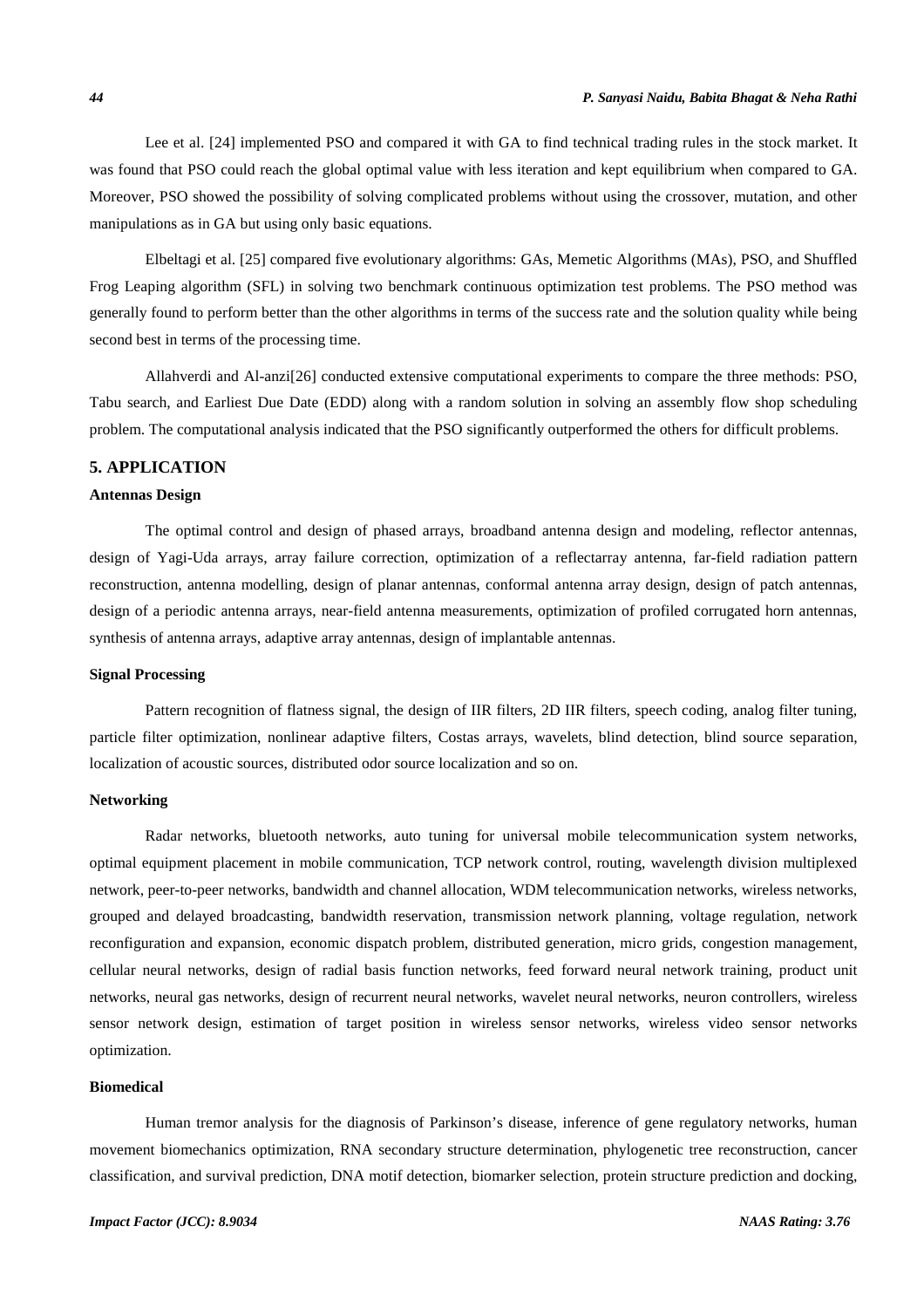Lee et al. [24] implemented PSO and compared it with GA to find technical trading rules in the stock market. It was found that PSO could reach the global optimal value with less iteration and kept equilibrium when compared to GA. Moreover, PSO showed the possibility of solving complicated problems without using the crossover, mutation, and other manipulations as in GA but using only basic equations.

Elbeltagi et al. [25] compared five evolutionary algorithms: GAs, Memetic Algorithms (MAs), PSO, and Shuffled Frog Leaping algorithm (SFL) in solving two benchmark continuous optimization test problems. The PSO method was generally found to perform better than the other algorithms in terms of the success rate and the solution quality while being second best in terms of the processing time.

Allahverdi and Al-anzi[26] conducted extensive computational experiments to compare the three methods: PSO, Tabu search, and Earliest Due Date (EDD) along with a random solution in solving an assembly flow shop scheduling problem. The computational analysis indicated that the PSO significantly outperformed the others for difficult problems.

# **5. APPLICATION**

### **Antennas Design**

The optimal control and design of phased arrays, broadband antenna design and modeling, reflector antennas, design of Yagi-Uda arrays, array failure correction, optimization of a reflectarray antenna, far-field radiation pattern reconstruction, antenna modelling, design of planar antennas, conformal antenna array design, design of patch antennas, design of a periodic antenna arrays, near-field antenna measurements, optimization of profiled corrugated horn antennas, synthesis of antenna arrays, adaptive array antennas, design of implantable antennas.

#### **Signal Processing**

Pattern recognition of flatness signal, the design of IIR filters, 2D IIR filters, speech coding, analog filter tuning, particle filter optimization, nonlinear adaptive filters, Costas arrays, wavelets, blind detection, blind source separation, localization of acoustic sources, distributed odor source localization and so on.

#### **Networking**

Radar networks, bluetooth networks, auto tuning for universal mobile telecommunication system networks, optimal equipment placement in mobile communication, TCP network control, routing, wavelength division multiplexed network, peer-to-peer networks, bandwidth and channel allocation, WDM telecommunication networks, wireless networks, grouped and delayed broadcasting, bandwidth reservation, transmission network planning, voltage regulation, network reconfiguration and expansion, economic dispatch problem, distributed generation, micro grids, congestion management, cellular neural networks, design of radial basis function networks, feed forward neural network training, product unit networks, neural gas networks, design of recurrent neural networks, wavelet neural networks, neuron controllers, wireless sensor network design, estimation of target position in wireless sensor networks, wireless video sensor networks optimization.

### **Biomedical**

Human tremor analysis for the diagnosis of Parkinson's disease, inference of gene regulatory networks, human movement biomechanics optimization, RNA secondary structure determination, phylogenetic tree reconstruction, cancer classification, and survival prediction, DNA motif detection, biomarker selection, protein structure prediction and docking,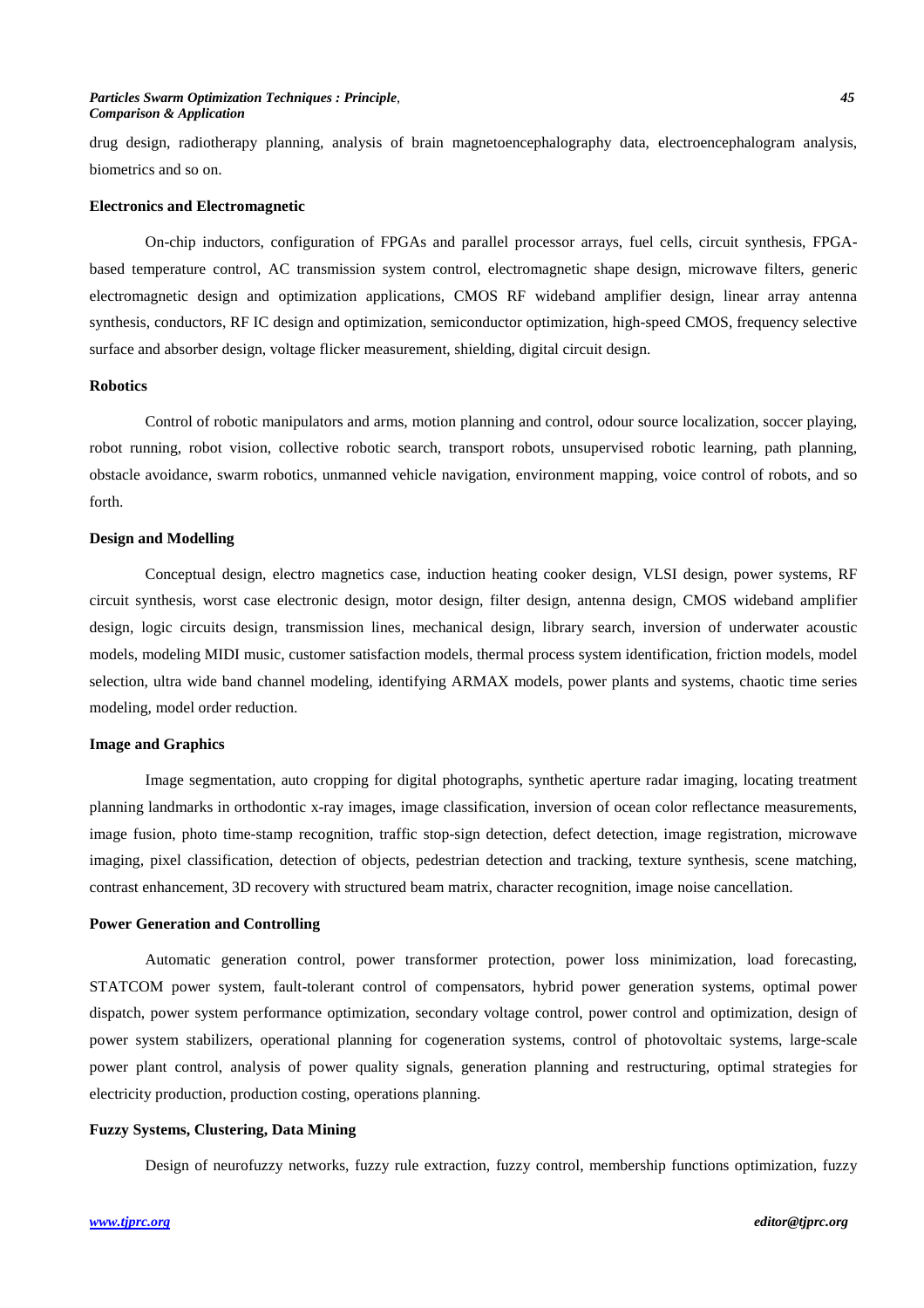### *Particles Swarm Optimization Techniques : Principle*, *45 Comparison & Application*

drug design, radiotherapy planning, analysis of brain magnetoencephalography data, electroencephalogram analysis, biometrics and so on.

### **Electronics and Electromagnetic**

On-chip inductors, configuration of FPGAs and parallel processor arrays, fuel cells, circuit synthesis, FPGAbased temperature control, AC transmission system control, electromagnetic shape design, microwave filters, generic electromagnetic design and optimization applications, CMOS RF wideband amplifier design, linear array antenna synthesis, conductors, RF IC design and optimization, semiconductor optimization, high-speed CMOS, frequency selective surface and absorber design, voltage flicker measurement, shielding, digital circuit design.

## **Robotics**

Control of robotic manipulators and arms, motion planning and control, odour source localization, soccer playing, robot running, robot vision, collective robotic search, transport robots, unsupervised robotic learning, path planning, obstacle avoidance, swarm robotics, unmanned vehicle navigation, environment mapping, voice control of robots, and so forth.

### **Design and Modelling**

Conceptual design, electro magnetics case, induction heating cooker design, VLSI design, power systems, RF circuit synthesis, worst case electronic design, motor design, filter design, antenna design, CMOS wideband amplifier design, logic circuits design, transmission lines, mechanical design, library search, inversion of underwater acoustic models, modeling MIDI music, customer satisfaction models, thermal process system identification, friction models, model selection, ultra wide band channel modeling, identifying ARMAX models, power plants and systems, chaotic time series modeling, model order reduction.

### **Image and Graphics**

Image segmentation, auto cropping for digital photographs, synthetic aperture radar imaging, locating treatment planning landmarks in orthodontic x-ray images, image classification, inversion of ocean color reflectance measurements, image fusion, photo time-stamp recognition, traffic stop-sign detection, defect detection, image registration, microwave imaging, pixel classification, detection of objects, pedestrian detection and tracking, texture synthesis, scene matching, contrast enhancement, 3D recovery with structured beam matrix, character recognition, image noise cancellation.

## **Power Generation and Controlling**

Automatic generation control, power transformer protection, power loss minimization, load forecasting, STATCOM power system, fault-tolerant control of compensators, hybrid power generation systems, optimal power dispatch, power system performance optimization, secondary voltage control, power control and optimization, design of power system stabilizers, operational planning for cogeneration systems, control of photovoltaic systems, large-scale power plant control, analysis of power quality signals, generation planning and restructuring, optimal strategies for electricity production, production costing, operations planning.

## **Fuzzy Systems, Clustering, Data Mining**

Design of neurofuzzy networks, fuzzy rule extraction, fuzzy control, membership functions optimization, fuzzy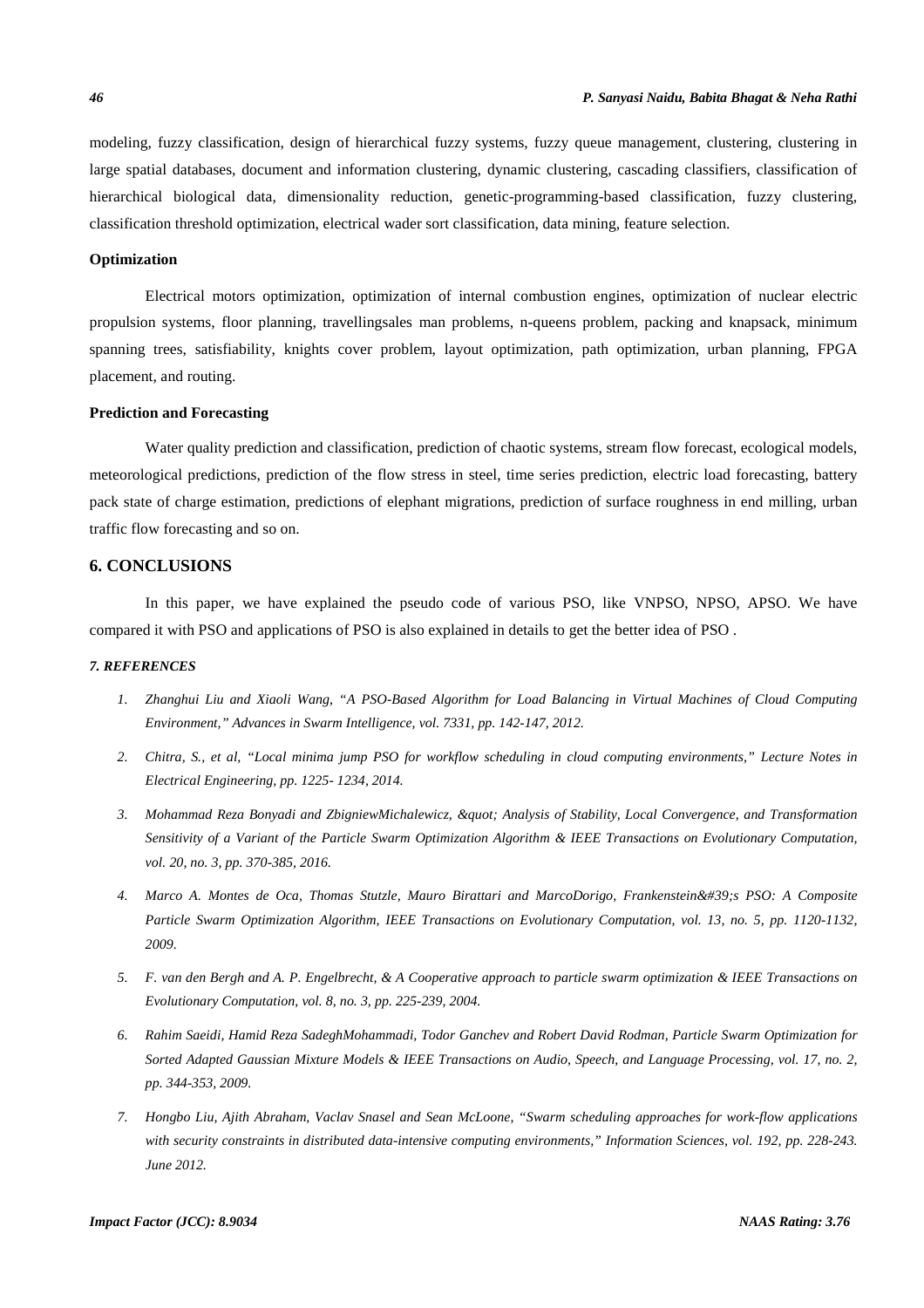modeling, fuzzy classification, design of hierarchical fuzzy systems, fuzzy queue management, clustering, clustering in large spatial databases, document and information clustering, dynamic clustering, cascading classifiers, classification of hierarchical biological data, dimensionality reduction, genetic-programming-based classification, fuzzy clustering, classification threshold optimization, electrical wader sort classification, data mining, feature selection.

### **Optimization**

Electrical motors optimization, optimization of internal combustion engines, optimization of nuclear electric propulsion systems, floor planning, travellingsales man problems, n-queens problem, packing and knapsack, minimum spanning trees, satisfiability, knights cover problem, layout optimization, path optimization, urban planning, FPGA placement, and routing.

### **Prediction and Forecasting**

Water quality prediction and classification, prediction of chaotic systems, stream flow forecast, ecological models, meteorological predictions, prediction of the flow stress in steel, time series prediction, electric load forecasting, battery pack state of charge estimation, predictions of elephant migrations, prediction of surface roughness in end milling, urban traffic flow forecasting and so on.

#### **6. CONCLUSIONS**

In this paper, we have explained the pseudo code of various PSO, like VNPSO, NPSO, APSO. We have compared it with PSO and applications of PSO is also explained in details to get the better idea of PSO .

#### *7. REFERENCES*

- *1. Zhanghui Liu and Xiaoli Wang, "A PSO-Based Algorithm for Load Balancing in Virtual Machines of Cloud Computing Environment," Advances in Swarm Intelligence, vol. 7331, pp. 142-147, 2012.*
- *2. Chitra, S., et al, "Local minima jump PSO for workflow scheduling in cloud computing environments," Lecture Notes in Electrical Engineering, pp. 1225- 1234, 2014.*
- 3. Mohammad Reza Bonyadi and ZbigniewMichalewicz, " Analysis of Stability, Local Convergence, and Transformation *Sensitivity of a Variant of the Particle Swarm Optimization Algorithm & IEEE Transactions on Evolutionary Computation, vol. 20, no. 3, pp. 370-385, 2016.*
- *4. Marco A. Montes de Oca, Thomas Stutzle, Mauro Birattari and MarcoDorigo, Frankenstein's PSO: A Composite Particle Swarm Optimization Algorithm, IEEE Transactions on Evolutionary Computation, vol. 13, no. 5, pp. 1120-1132, 2009.*
- *5. F. van den Bergh and A. P. Engelbrecht, & A Cooperative approach to particle swarm optimization & IEEE Transactions on Evolutionary Computation, vol. 8, no. 3, pp. 225-239, 2004.*
- *6. Rahim Saeidi, Hamid Reza SadeghMohammadi, Todor Ganchev and Robert David Rodman, Particle Swarm Optimization for Sorted Adapted Gaussian Mixture Models & IEEE Transactions on Audio, Speech, and Language Processing, vol. 17, no. 2, pp. 344-353, 2009.*
- *7. Hongbo Liu, Ajith Abraham, Vaclav Snasel and Sean McLoone, "Swarm scheduling approaches for work-flow applications with security constraints in distributed data-intensive computing environments," Information Sciences, vol. 192, pp. 228-243. June 2012.*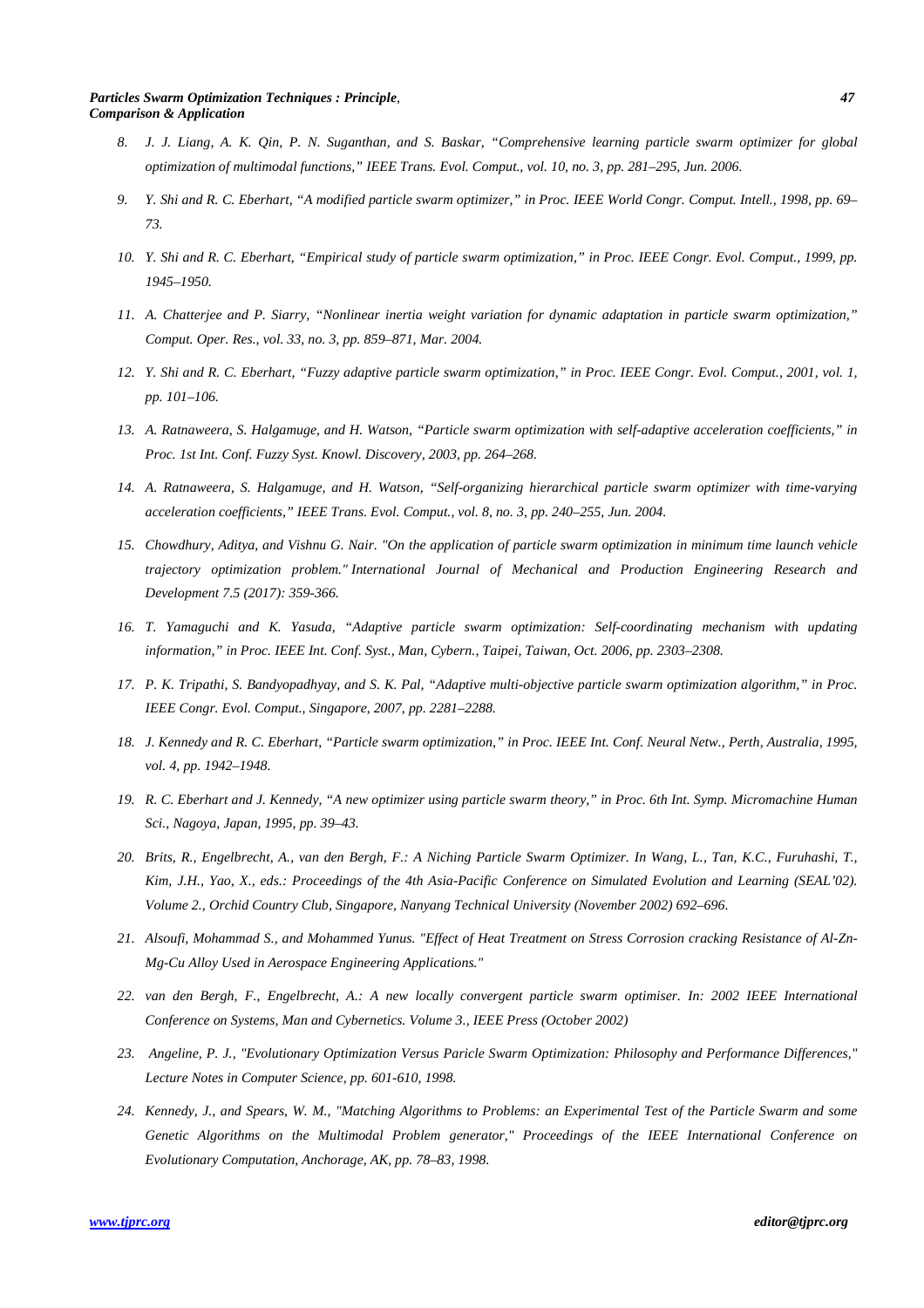#### *Particles Swarm Optimization Techniques : Principle*, *47 Comparison & Application*

- *8. J. J. Liang, A. K. Qin, P. N. Suganthan, and S. Baskar, "Comprehensive learning particle swarm optimizer for global optimization of multimodal functions," IEEE Trans. Evol. Comput., vol. 10, no. 3, pp. 281–295, Jun. 2006.*
- *9. Y. Shi and R. C. Eberhart, "A modified particle swarm optimizer," in Proc. IEEE World Congr. Comput. Intell., 1998, pp. 69– 73.*
- *10. Y. Shi and R. C. Eberhart, "Empirical study of particle swarm optimization," in Proc. IEEE Congr. Evol. Comput., 1999, pp. 1945–1950.*
- *11. A. Chatterjee and P. Siarry, "Nonlinear inertia weight variation for dynamic adaptation in particle swarm optimization," Comput. Oper. Res., vol. 33, no. 3, pp. 859–871, Mar. 2004.*
- *12. Y. Shi and R. C. Eberhart, "Fuzzy adaptive particle swarm optimization," in Proc. IEEE Congr. Evol. Comput., 2001, vol. 1, pp. 101–106.*
- *13. A. Ratnaweera, S. Halgamuge, and H. Watson, "Particle swarm optimization with self-adaptive acceleration coefficients," in Proc. 1st Int. Conf. Fuzzy Syst. Knowl. Discovery, 2003, pp. 264–268.*
- *14. A. Ratnaweera, S. Halgamuge, and H. Watson, "Self-organizing hierarchical particle swarm optimizer with time-varying acceleration coefficients," IEEE Trans. Evol. Comput., vol. 8, no. 3, pp. 240–255, Jun. 2004.*
- *15. Chowdhury, Aditya, and Vishnu G. Nair. "On the application of particle swarm optimization in minimum time launch vehicle trajectory optimization problem." International Journal of Mechanical and Production Engineering Research and Development 7.5 (2017): 359-366.*
- *16. T. Yamaguchi and K. Yasuda, "Adaptive particle swarm optimization: Self-coordinating mechanism with updating information," in Proc. IEEE Int. Conf. Syst., Man, Cybern., Taipei, Taiwan, Oct. 2006, pp. 2303–2308.*
- *17. P. K. Tripathi, S. Bandyopadhyay, and S. K. Pal, "Adaptive multi-objective particle swarm optimization algorithm," in Proc. IEEE Congr. Evol. Comput., Singapore, 2007, pp. 2281–2288.*
- *18. J. Kennedy and R. C. Eberhart, "Particle swarm optimization," in Proc. IEEE Int. Conf. Neural Netw., Perth, Australia, 1995, vol. 4, pp. 1942–1948.*
- *19. R. C. Eberhart and J. Kennedy, "A new optimizer using particle swarm theory," in Proc. 6th Int. Symp. Micromachine Human Sci., Nagoya, Japan, 1995, pp. 39–43.*
- *20. Brits, R., Engelbrecht, A., van den Bergh, F.: A Niching Particle Swarm Optimizer. In Wang, L., Tan, K.C., Furuhashi, T., Kim, J.H., Yao, X., eds.: Proceedings of the 4th Asia-Pacific Conference on Simulated Evolution and Learning (SEAL'02). Volume 2., Orchid Country Club, Singapore, Nanyang Technical University (November 2002) 692–696.*
- *21. Alsoufi, Mohammad S., and Mohammed Yunus. "Effect of Heat Treatment on Stress Corrosion cracking Resistance of Al-Zn-Mg-Cu Alloy Used in Aerospace Engineering Applications."*
- *22. van den Bergh, F., Engelbrecht, A.: A new locally convergent particle swarm optimiser. In: 2002 IEEE International Conference on Systems, Man and Cybernetics. Volume 3., IEEE Press (October 2002)*
- *23. Angeline, P. J., "Evolutionary Optimization Versus Paricle Swarm Optimization: Philosophy and Performance Differences," Lecture Notes in Computer Science, pp. 601-610, 1998.*
- *24. Kennedy, J., and Spears, W. M., "Matching Algorithms to Problems: an Experimental Test of the Particle Swarm and some Genetic Algorithms on the Multimodal Problem generator," Proceedings of the IEEE International Conference on Evolutionary Computation, Anchorage, AK, pp. 78–83, 1998.*